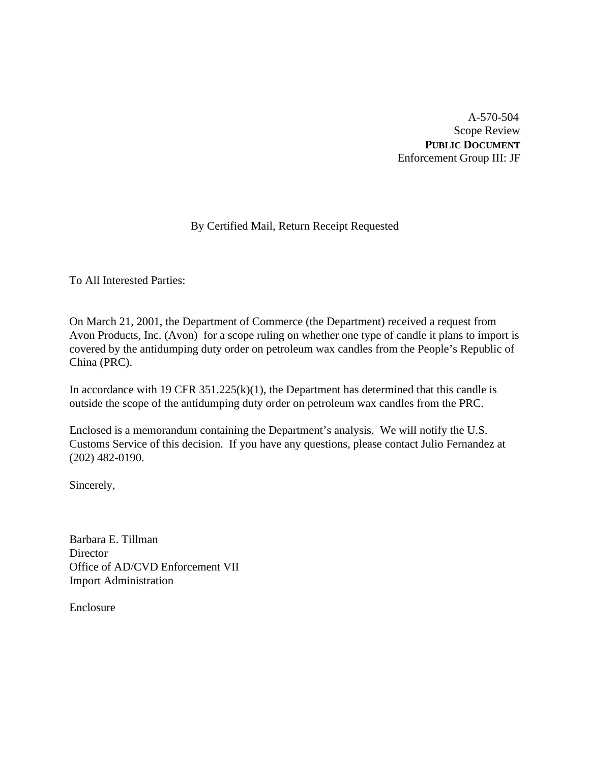A-570-504 Scope Review **PUBLIC DOCUMENT** Enforcement Group III: JF

# By Certified Mail, Return Receipt Requested

To All Interested Parties:

On March 21, 2001, the Department of Commerce (the Department) received a request from Avon Products, Inc. (Avon) for a scope ruling on whether one type of candle it plans to import is covered by the antidumping duty order on petroleum wax candles from the People's Republic of China (PRC).

In accordance with 19 CFR  $351.225(k)(1)$ , the Department has determined that this candle is outside the scope of the antidumping duty order on petroleum wax candles from the PRC.

Enclosed is a memorandum containing the Department's analysis. We will notify the U.S. Customs Service of this decision. If you have any questions, please contact Julio Fernandez at (202) 482-0190.

Sincerely,

Barbara E. Tillman **Director** Office of AD/CVD Enforcement VII Import Administration

Enclosure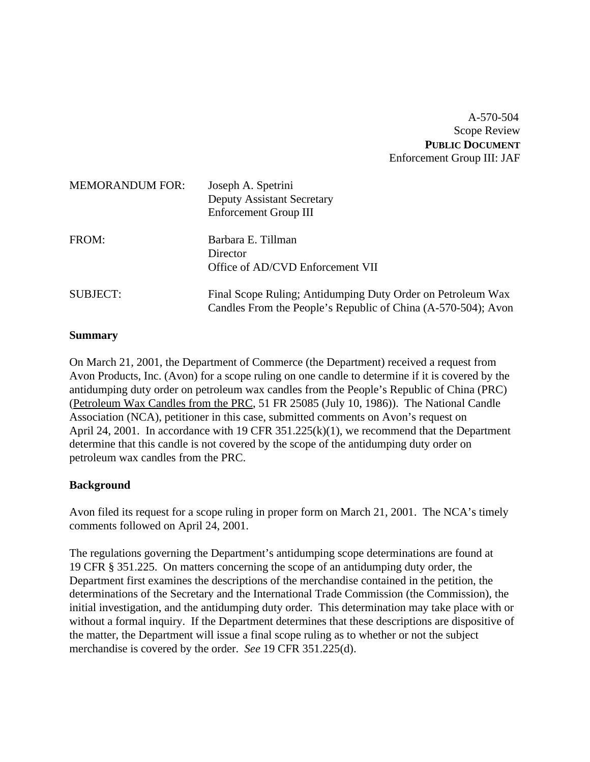A-570-504 Scope Review **PUBLIC DOCUMENT** Enforcement Group III: JAF

| <b>MEMORANDUM FOR:</b> | Joseph A. Spetrini<br><b>Deputy Assistant Secretary</b><br>Enforcement Group III                                             |
|------------------------|------------------------------------------------------------------------------------------------------------------------------|
| FROM:                  | Barbara E. Tillman<br>Director<br>Office of AD/CVD Enforcement VII                                                           |
| <b>SUBJECT:</b>        | Final Scope Ruling; Antidumping Duty Order on Petroleum Wax<br>Candles From the People's Republic of China (A-570-504); Avon |

## **Summary**

On March 21, 2001, the Department of Commerce (the Department) received a request from Avon Products, Inc. (Avon) for a scope ruling on one candle to determine if it is covered by the antidumping duty order on petroleum wax candles from the People's Republic of China (PRC) (Petroleum Wax Candles from the PRC, 51 FR 25085 (July 10, 1986)). The National Candle Association (NCA), petitioner in this case, submitted comments on Avon's request on April 24, 2001. In accordance with 19 CFR 351.225(k)(1), we recommend that the Department determine that this candle is not covered by the scope of the antidumping duty order on petroleum wax candles from the PRC.

## **Background**

Avon filed its request for a scope ruling in proper form on March 21, 2001. The NCA's timely comments followed on April 24, 2001.

The regulations governing the Department's antidumping scope determinations are found at 19 CFR § 351.225. On matters concerning the scope of an antidumping duty order, the Department first examines the descriptions of the merchandise contained in the petition, the determinations of the Secretary and the International Trade Commission (the Commission), the initial investigation, and the antidumping duty order. This determination may take place with or without a formal inquiry. If the Department determines that these descriptions are dispositive of the matter, the Department will issue a final scope ruling as to whether or not the subject merchandise is covered by the order. *See* 19 CFR 351.225(d).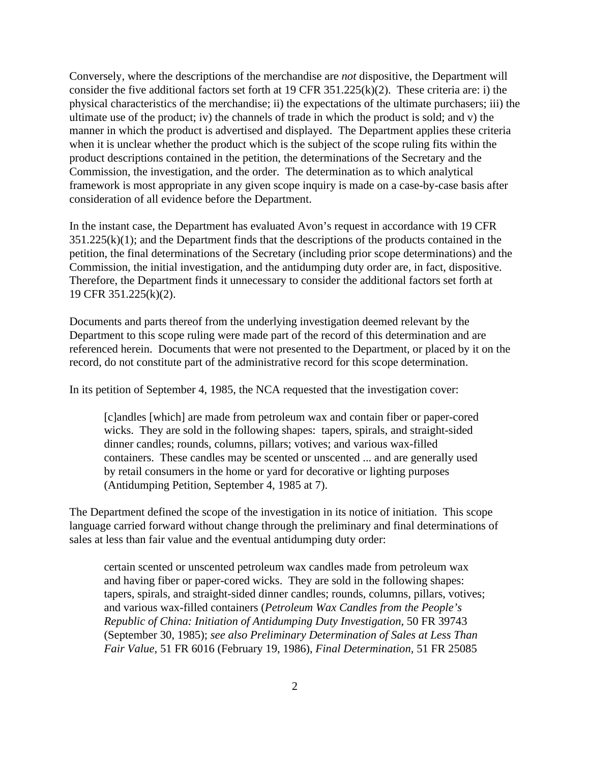Conversely, where the descriptions of the merchandise are *not* dispositive, the Department will consider the five additional factors set forth at 19 CFR 351.225(k)(2). These criteria are: i) the physical characteristics of the merchandise; ii) the expectations of the ultimate purchasers; iii) the ultimate use of the product; iv) the channels of trade in which the product is sold; and v) the manner in which the product is advertised and displayed. The Department applies these criteria when it is unclear whether the product which is the subject of the scope ruling fits within the product descriptions contained in the petition, the determinations of the Secretary and the Commission, the investigation, and the order. The determination as to which analytical framework is most appropriate in any given scope inquiry is made on a case-by-case basis after consideration of all evidence before the Department.

In the instant case, the Department has evaluated Avon's request in accordance with 19 CFR  $351.225(k)(1)$ ; and the Department finds that the descriptions of the products contained in the petition, the final determinations of the Secretary (including prior scope determinations) and the Commission, the initial investigation, and the antidumping duty order are, in fact, dispositive. Therefore, the Department finds it unnecessary to consider the additional factors set forth at 19 CFR 351.225(k)(2).

Documents and parts thereof from the underlying investigation deemed relevant by the Department to this scope ruling were made part of the record of this determination and are referenced herein. Documents that were not presented to the Department, or placed by it on the record, do not constitute part of the administrative record for this scope determination.

In its petition of September 4, 1985, the NCA requested that the investigation cover:

[c]andles [which] are made from petroleum wax and contain fiber or paper-cored wicks. They are sold in the following shapes: tapers, spirals, and straight-sided dinner candles; rounds, columns, pillars; votives; and various wax-filled containers. These candles may be scented or unscented ... and are generally used by retail consumers in the home or yard for decorative or lighting purposes (Antidumping Petition, September 4, 1985 at 7).

The Department defined the scope of the investigation in its notice of initiation. This scope language carried forward without change through the preliminary and final determinations of sales at less than fair value and the eventual antidumping duty order:

certain scented or unscented petroleum wax candles made from petroleum wax and having fiber or paper-cored wicks. They are sold in the following shapes: tapers, spirals, and straight-sided dinner candles; rounds, columns, pillars, votives; and various wax-filled containers (*Petroleum Wax Candles from the People's Republic of China: Initiation of Antidumping Duty Investigation*, 50 FR 39743 (September 30, 1985); *see also Preliminary Determination of Sales at Less Than Fair Value,* 51 FR 6016 (February 19, 1986), *Final Determination,* 51 FR 25085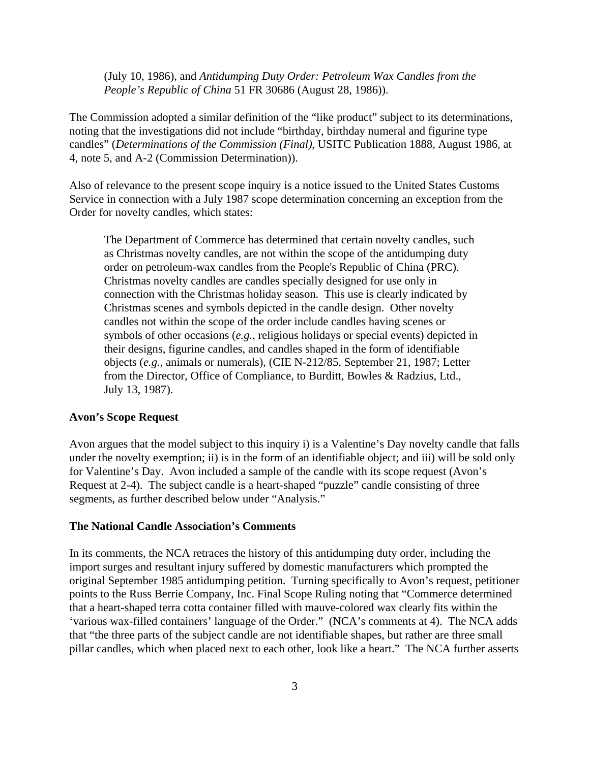(July 10, 1986), and *Antidumping Duty Order: Petroleum Wax Candles from the People's Republic of China* 51 FR 30686 (August 28, 1986)).

The Commission adopted a similar definition of the "like product" subject to its determinations, noting that the investigations did not include "birthday, birthday numeral and figurine type candles" (*Determinations of the Commission (Final)*, USITC Publication 1888, August 1986, at 4, note 5, and A-2 (Commission Determination)).

Also of relevance to the present scope inquiry is a notice issued to the United States Customs Service in connection with a July 1987 scope determination concerning an exception from the Order for novelty candles, which states:

The Department of Commerce has determined that certain novelty candles, such as Christmas novelty candles, are not within the scope of the antidumping duty order on petroleum-wax candles from the People's Republic of China (PRC). Christmas novelty candles are candles specially designed for use only in connection with the Christmas holiday season. This use is clearly indicated by Christmas scenes and symbols depicted in the candle design. Other novelty candles not within the scope of the order include candles having scenes or symbols of other occasions (*e.g.*, religious holidays or special events) depicted in their designs, figurine candles, and candles shaped in the form of identifiable objects (*e.g.*, animals or numerals), (CIE N-212/85, September 21, 1987; Letter from the Director, Office of Compliance, to Burditt, Bowles & Radzius, Ltd., July 13, 1987).

### **Avon's Scope Request**

Avon argues that the model subject to this inquiry i) is a Valentine's Day novelty candle that falls under the novelty exemption; ii) is in the form of an identifiable object; and iii) will be sold only for Valentine's Day. Avon included a sample of the candle with its scope request (Avon's Request at 2-4). The subject candle is a heart-shaped "puzzle" candle consisting of three segments, as further described below under "Analysis."

#### **The National Candle Association's Comments**

In its comments, the NCA retraces the history of this antidumping duty order, including the import surges and resultant injury suffered by domestic manufacturers which prompted the original September 1985 antidumping petition. Turning specifically to Avon's request, petitioner points to the Russ Berrie Company, Inc. Final Scope Ruling noting that "Commerce determined that a heart-shaped terra cotta container filled with mauve-colored wax clearly fits within the 'various wax-filled containers' language of the Order." (NCA's comments at 4). The NCA adds that "the three parts of the subject candle are not identifiable shapes, but rather are three small pillar candles, which when placed next to each other, look like a heart." The NCA further asserts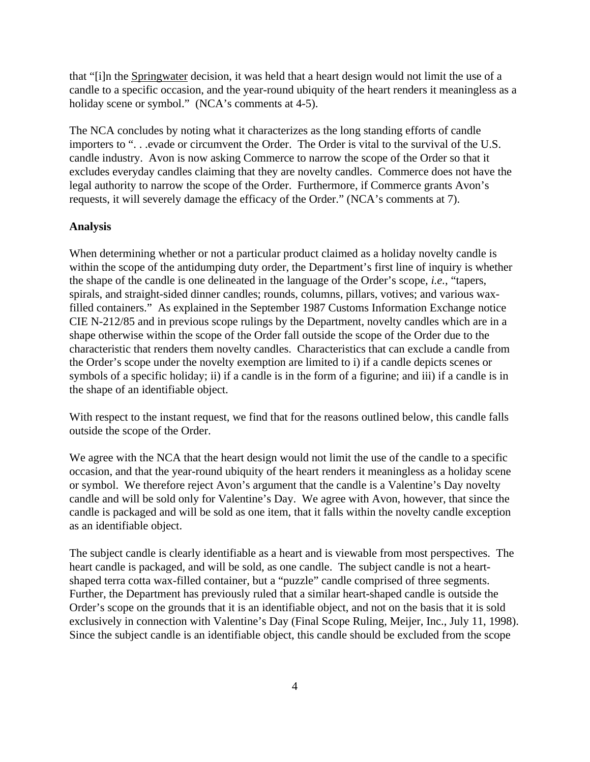that "[i]n the Springwater decision, it was held that a heart design would not limit the use of a candle to a specific occasion, and the year-round ubiquity of the heart renders it meaningless as a holiday scene or symbol." (NCA's comments at 4-5).

The NCA concludes by noting what it characterizes as the long standing efforts of candle importers to "... evade or circumvent the Order. The Order is vital to the survival of the U.S. candle industry. Avon is now asking Commerce to narrow the scope of the Order so that it excludes everyday candles claiming that they are novelty candles. Commerce does not have the legal authority to narrow the scope of the Order. Furthermore, if Commerce grants Avon's requests, it will severely damage the efficacy of the Order." (NCA's comments at 7).

## **Analysis**

When determining whether or not a particular product claimed as a holiday novelty candle is within the scope of the antidumping duty order, the Department's first line of inquiry is whether the shape of the candle is one delineated in the language of the Order's scope, *i.e.*, "tapers, spirals, and straight-sided dinner candles; rounds, columns, pillars, votives; and various waxfilled containers." As explained in the September 1987 Customs Information Exchange notice CIE N-212/85 and in previous scope rulings by the Department, novelty candles which are in a shape otherwise within the scope of the Order fall outside the scope of the Order due to the characteristic that renders them novelty candles. Characteristics that can exclude a candle from the Order's scope under the novelty exemption are limited to i) if a candle depicts scenes or symbols of a specific holiday; ii) if a candle is in the form of a figurine; and iii) if a candle is in the shape of an identifiable object.

With respect to the instant request, we find that for the reasons outlined below, this candle falls outside the scope of the Order.

We agree with the NCA that the heart design would not limit the use of the candle to a specific occasion, and that the year-round ubiquity of the heart renders it meaningless as a holiday scene or symbol. We therefore reject Avon's argument that the candle is a Valentine's Day novelty candle and will be sold only for Valentine's Day. We agree with Avon, however, that since the candle is packaged and will be sold as one item, that it falls within the novelty candle exception as an identifiable object.

The subject candle is clearly identifiable as a heart and is viewable from most perspectives. The heart candle is packaged, and will be sold, as one candle. The subject candle is not a heartshaped terra cotta wax-filled container, but a "puzzle" candle comprised of three segments. Further, the Department has previously ruled that a similar heart-shaped candle is outside the Order's scope on the grounds that it is an identifiable object, and not on the basis that it is sold exclusively in connection with Valentine's Day (Final Scope Ruling, Meijer, Inc., July 11, 1998). Since the subject candle is an identifiable object, this candle should be excluded from the scope